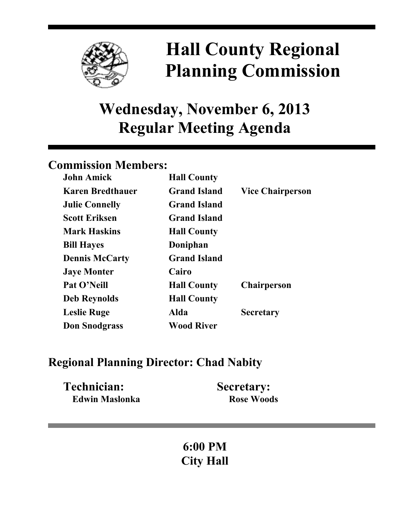

# **Hall County Regional Planning Commission**

## **Wednesday, November 6, 2013 Regular Meeting Agenda**

## **Commission Members:**

| <b>John Amick</b>       | <b>Hall County</b>  |                         |
|-------------------------|---------------------|-------------------------|
| <b>Karen Bredthauer</b> | <b>Grand Island</b> | <b>Vice Chairperson</b> |
| <b>Julie Connelly</b>   | <b>Grand Island</b> |                         |
| <b>Scott Eriksen</b>    | <b>Grand Island</b> |                         |
| <b>Mark Haskins</b>     | <b>Hall County</b>  |                         |
| <b>Bill Hayes</b>       | Doniphan            |                         |
| <b>Dennis McCarty</b>   | <b>Grand Island</b> |                         |
| <b>Jaye Monter</b>      | Cairo               |                         |
| Pat O'Neill             | <b>Hall County</b>  | <b>Chairperson</b>      |
| <b>Deb Reynolds</b>     | <b>Hall County</b>  |                         |
| <b>Leslie Ruge</b>      | Alda                | <b>Secretary</b>        |
| <b>Don Snodgrass</b>    | <b>Wood River</b>   |                         |

### **Regional Planning Director: Chad Nabity**

| Technician:           | <b>Secretary:</b> |
|-----------------------|-------------------|
| <b>Edwin Maslonka</b> | <b>Rose Woods</b> |

## **6:00 PM City Hall**